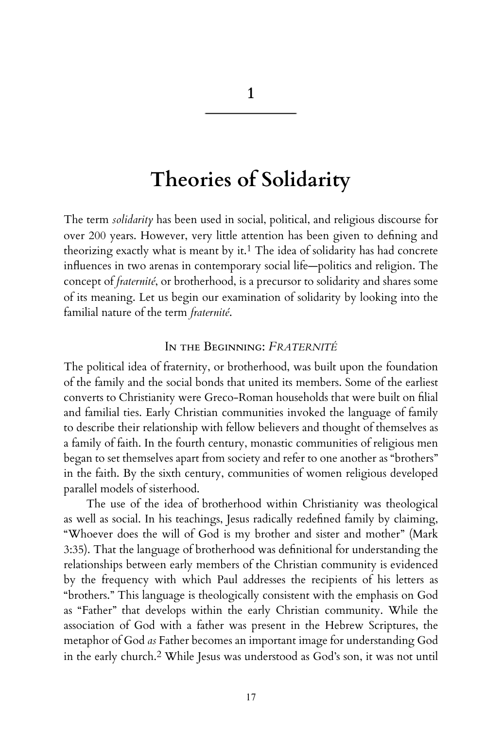**1**

# **Theories of Solidarity**

The term *solidarity* has been used in social, political, and religious discourse for over 200 years. However, very little attention has been given to defining and theorizing exactly what is meant by it.<sup>1</sup> The idea of solidarity has had concrete influences in two arenas in contemporary social life—politics and religion. The concept of *fraternité*, or brotherhood, is a precursor to solidarity and shares some of its meaning. Let us begin our examination of solidarity by looking into the familial nature of the term *fraternité*.

#### In the Beginning: *FRATERNITÉ*

The political idea of fraternity, or brotherhood, was built upon the foundation of the family and the social bonds that united its members. Some of the earliest converts to Christianity were Greco-Roman households that were built on filial and familial ties. Early Christian communities invoked the language of family to describe their relationship with fellow believers and thought of themselves as a family of faith. In the fourth century, monastic communities of religious men began to set themselves apart from society and refer to one another as "brothers" in the faith. By the sixth century, communities of women religious developed parallel models of sisterhood.

The use of the idea of brotherhood within Christianity was theological as well as social. In his teachings, Jesus radically redefined family by claiming, "Whoever does the will of God is my brother and sister and mother" (Mark 3:35). That the language of brotherhood was definitional for understanding the relationships between early members of the Christian community is evidenced by the frequency with which Paul addresses the recipients of his letters as "brothers." This language is theologically consistent with the emphasis on God as "Father" that develops within the early Christian community. While the association of God with a father was present in the Hebrew Scriptures, the metaphor of God *as* Father becomes an important image for understanding God in the early church.2 While Jesus was understood as God's son, it was not until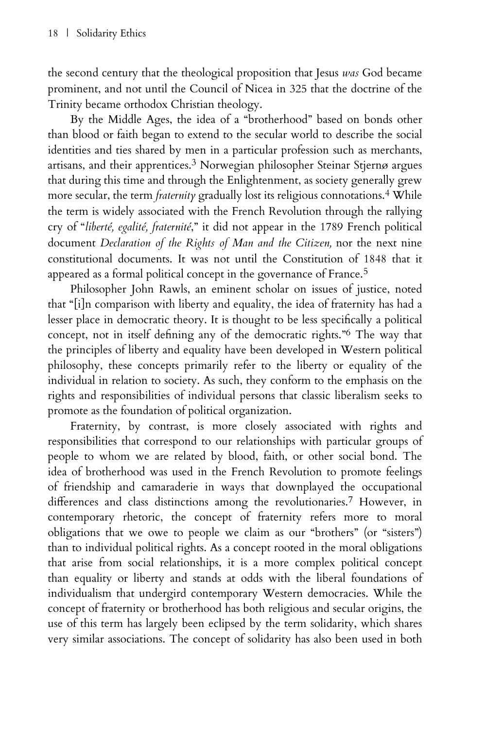the second century that the theological proposition that Jesus *was* God became prominent, and not until the Council of Nicea in 325 that the doctrine of the Trinity became orthodox Christian theology.

By the Middle Ages, the idea of a "brotherhood" based on bonds other than blood or faith began to extend to the secular world to describe the social identities and ties shared by men in a particular profession such as merchants, artisans, and their apprentices.3 Norwegian philosopher Steinar Stjernø argues that during this time and through the Enlightenment, as society generally grew more secular, the term *fraternity* gradually lost its religious connotations.4 While the term is widely associated with the French Revolution through the rallying cry of "*liberté, egalité, fraternité*," it did not appear in the 1789 French political document *Declaration of the Rights of Man and the Citizen,* nor the next nine constitutional documents. It was not until the Constitution of 1848 that it appeared as a formal political concept in the governance of France.5

Philosopher John Rawls, an eminent scholar on issues of justice, noted that "[i]n comparison with liberty and equality, the idea of fraternity has had a lesser place in democratic theory. It is thought to be less specifically a political concept, not in itself defining any of the democratic rights."6 The way that the principles of liberty and equality have been developed in Western political philosophy, these concepts primarily refer to the liberty or equality of the individual in relation to society. As such, they conform to the emphasis on the rights and responsibilities of individual persons that classic liberalism seeks to promote as the foundation of political organization.

Fraternity, by contrast, is more closely associated with rights and responsibilities that correspond to our relationships with particular groups of people to whom we are related by blood, faith, or other social bond. The idea of brotherhood was used in the French Revolution to promote feelings of friendship and camaraderie in ways that downplayed the occupational differences and class distinctions among the revolutionaries.7 However, in contemporary rhetoric, the concept of fraternity refers more to moral obligations that we owe to people we claim as our "brothers" (or "sisters") than to individual political rights. As a concept rooted in the moral obligations that arise from social relationships, it is a more complex political concept than equality or liberty and stands at odds with the liberal foundations of individualism that undergird contemporary Western democracies. While the concept of fraternity or brotherhood has both religious and secular origins, the use of this term has largely been eclipsed by the term solidarity, which shares very similar associations. The concept of solidarity has also been used in both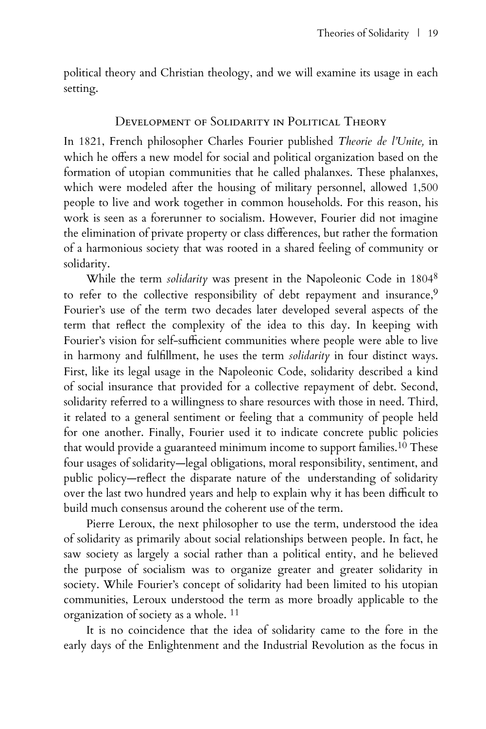political theory and Christian theology, and we will examine its usage in each setting.

#### Development of Solidarity in Political Theory

In 1821, French philosopher Charles Fourier published *Theorie de l'Unite,* in which he offers a new model for social and political organization based on the formation of utopian communities that he called phalanxes. These phalanxes, which were modeled after the housing of military personnel, allowed 1,500 people to live and work together in common households. For this reason, his work is seen as a forerunner to socialism. However, Fourier did not imagine the elimination of private property or class differences, but rather the formation of a harmonious society that was rooted in a shared feeling of community or solidarity.

While the term *solidarity* was present in the Napoleonic Code in 18048 to refer to the collective responsibility of debt repayment and insurance,<sup>9</sup> Fourier's use of the term two decades later developed several aspects of the term that reflect the complexity of the idea to this day. In keeping with Fourier's vision for self-sufficient communities where people were able to live in harmony and fulfillment, he uses the term *solidarity* in four distinct ways. First, like its legal usage in the Napoleonic Code, solidarity described a kind of social insurance that provided for a collective repayment of debt. Second, solidarity referred to a willingness to share resources with those in need. Third, it related to a general sentiment or feeling that a community of people held for one another. Finally, Fourier used it to indicate concrete public policies that would provide a guaranteed minimum income to support families.10 These four usages of solidarity—legal obligations, moral responsibility, sentiment, and public policy—reflect the disparate nature of the understanding of solidarity over the last two hundred years and help to explain why it has been difficult to build much consensus around the coherent use of the term.

Pierre Leroux, the next philosopher to use the term, understood the idea of solidarity as primarily about social relationships between people. In fact, he saw society as largely a social rather than a political entity, and he believed the purpose of socialism was to organize greater and greater solidarity in society. While Fourier's concept of solidarity had been limited to his utopian communities, Leroux understood the term as more broadly applicable to the organization of society as a whole. 11

It is no coincidence that the idea of solidarity came to the fore in the early days of the Enlightenment and the Industrial Revolution as the focus in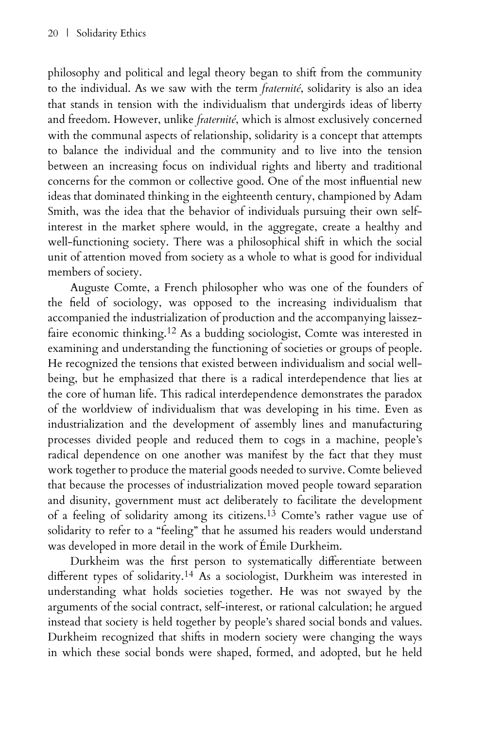philosophy and political and legal theory began to shift from the community to the individual. As we saw with the term *fraternité*, solidarity is also an idea that stands in tension with the individualism that undergirds ideas of liberty and freedom. However, unlike *fraternité*, which is almost exclusively concerned with the communal aspects of relationship, solidarity is a concept that attempts to balance the individual and the community and to live into the tension between an increasing focus on individual rights and liberty and traditional concerns for the common or collective good. One of the most influential new ideas that dominated thinking in the eighteenth century, championed by Adam Smith, was the idea that the behavior of individuals pursuing their own selfinterest in the market sphere would, in the aggregate, create a healthy and well-functioning society. There was a philosophical shift in which the social unit of attention moved from society as a whole to what is good for individual members of society.

Auguste Comte, a French philosopher who was one of the founders of the field of sociology, was opposed to the increasing individualism that accompanied the industrialization of production and the accompanying laissezfaire economic thinking.12 As a budding sociologist, Comte was interested in examining and understanding the functioning of societies or groups of people. He recognized the tensions that existed between individualism and social wellbeing, but he emphasized that there is a radical interdependence that lies at the core of human life. This radical interdependence demonstrates the paradox of the worldview of individualism that was developing in his time. Even as industrialization and the development of assembly lines and manufacturing processes divided people and reduced them to cogs in a machine, people's radical dependence on one another was manifest by the fact that they must work together to produce the material goods needed to survive. Comte believed that because the processes of industrialization moved people toward separation and disunity, government must act deliberately to facilitate the development of a feeling of solidarity among its citizens.13 Comte's rather vague use of solidarity to refer to a "feeling" that he assumed his readers would understand was developed in more detail in the work of Émile Durkheim.

Durkheim was the first person to systematically differentiate between different types of solidarity.14 As a sociologist, Durkheim was interested in understanding what holds societies together. He was not swayed by the arguments of the social contract, self-interest, or rational calculation; he argued instead that society is held together by people's shared social bonds and values. Durkheim recognized that shifts in modern society were changing the ways in which these social bonds were shaped, formed, and adopted, but he held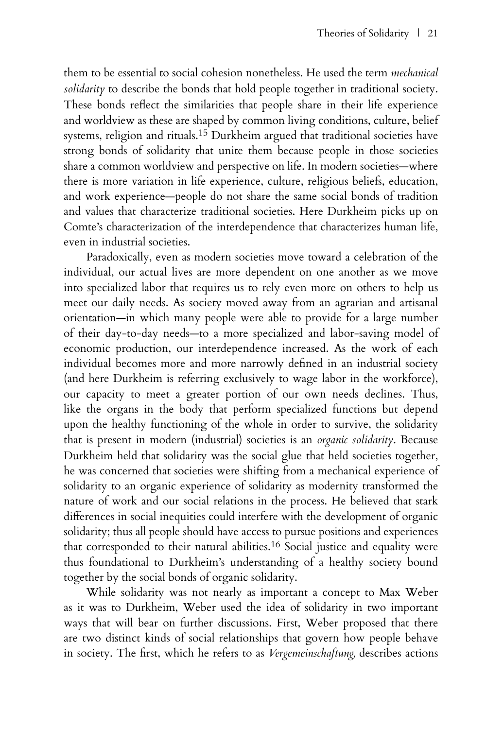them to be essential to social cohesion nonetheless. He used the term *mechanical solidarity* to describe the bonds that hold people together in traditional society. These bonds reflect the similarities that people share in their life experience and worldview as these are shaped by common living conditions, culture, belief systems, religion and rituals.15 Durkheim argued that traditional societies have strong bonds of solidarity that unite them because people in those societies share a common worldview and perspective on life. In modern societies—where there is more variation in life experience, culture, religious beliefs, education, and work experience—people do not share the same social bonds of tradition and values that characterize traditional societies. Here Durkheim picks up on Comte's characterization of the interdependence that characterizes human life, even in industrial societies.

Paradoxically, even as modern societies move toward a celebration of the individual, our actual lives are more dependent on one another as we move into specialized labor that requires us to rely even more on others to help us meet our daily needs. As society moved away from an agrarian and artisanal orientation—in which many people were able to provide for a large number of their day-to-day needs—to a more specialized and labor-saving model of economic production, our interdependence increased. As the work of each individual becomes more and more narrowly defined in an industrial society (and here Durkheim is referring exclusively to wage labor in the workforce), our capacity to meet a greater portion of our own needs declines. Thus, like the organs in the body that perform specialized functions but depend upon the healthy functioning of the whole in order to survive, the solidarity that is present in modern (industrial) societies is an *organic solidarity*. Because Durkheim held that solidarity was the social glue that held societies together, he was concerned that societies were shifting from a mechanical experience of solidarity to an organic experience of solidarity as modernity transformed the nature of work and our social relations in the process. He believed that stark differences in social inequities could interfere with the development of organic solidarity; thus all people should have access to pursue positions and experiences that corresponded to their natural abilities.16 Social justice and equality were thus foundational to Durkheim's understanding of a healthy society bound together by the social bonds of organic solidarity.

While solidarity was not nearly as important a concept to Max Weber as it was to Durkheim, Weber used the idea of solidarity in two important ways that will bear on further discussions. First, Weber proposed that there are two distinct kinds of social relationships that govern how people behave in society. The first, which he refers to as *Vergemeinschaftung,* describes actions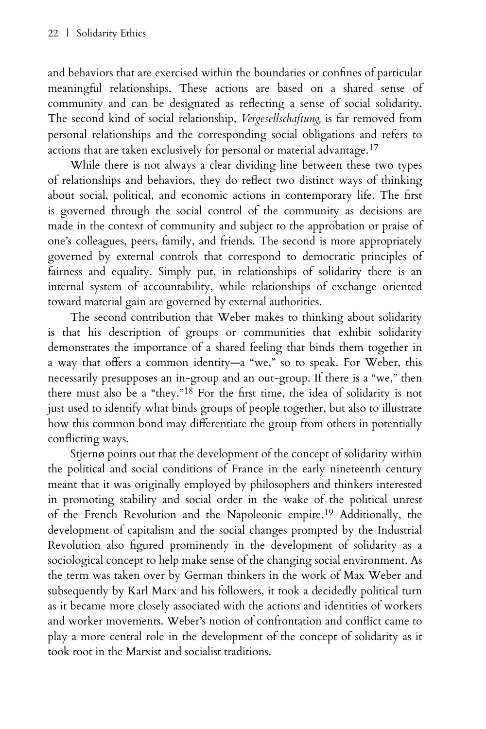and behaviors that are exercised within the boundaries or confines of particular meaningful relationships. These actions are based on a shared sense of community and can be designated as reflecting a sense of social solidarity. The second kind of social relationship, *Vergesellschaftung,* is far removed from personal relationships and the corresponding social obligations and refers to actions that are taken exclusively for personal or material advantage.17

While there is not always a clear dividing line between these two types of relationships and behaviors, they do reflect two distinct ways of thinking about social, political, and economic actions in contemporary life. The first is governed through the social control of the community as decisions are made in the context of community and subject to the approbation or praise of one's colleagues, peers, family, and friends. The second is more appropriately governed by external controls that correspond to democratic principles of fairness and equality. Simply put, in relationships of solidarity there is an internal system of accountability, while relationships of exchange oriented toward material gain are governed by external authorities.

The second contribution that Weber makes to thinking about solidarity is that his description of groups or communities that exhibit solidarity demonstrates the importance of a shared feeling that binds them together in a way that offers a common identity—a "we," so to speak. For Weber, this necessarily presupposes an in-group and an out-group. If there is a "we," then there must also be a "they."18 For the first time, the idea of solidarity is not just used to identify what binds groups of people together, but also to illustrate how this common bond may differentiate the group from others in potentially conflicting ways.

Stjernø points out that the development of the concept of solidarity within the political and social conditions of France in the early nineteenth century meant that it was originally employed by philosophers and thinkers interested in promoting stability and social order in the wake of the political unrest of the French Revolution and the Napoleonic empire.19 Additionally, the development of capitalism and the social changes prompted by the Industrial Revolution also figured prominently in the development of solidarity as a sociological concept to help make sense of the changing social environment. As the term was taken over by German thinkers in the work of Max Weber and subsequently by Karl Marx and his followers, it took a decidedly political turn as it became more closely associated with the actions and identities of workers and worker movements. Weber's notion of confrontation and conflict came to play a more central role in the development of the concept of solidarity as it took root in the Marxist and socialist traditions.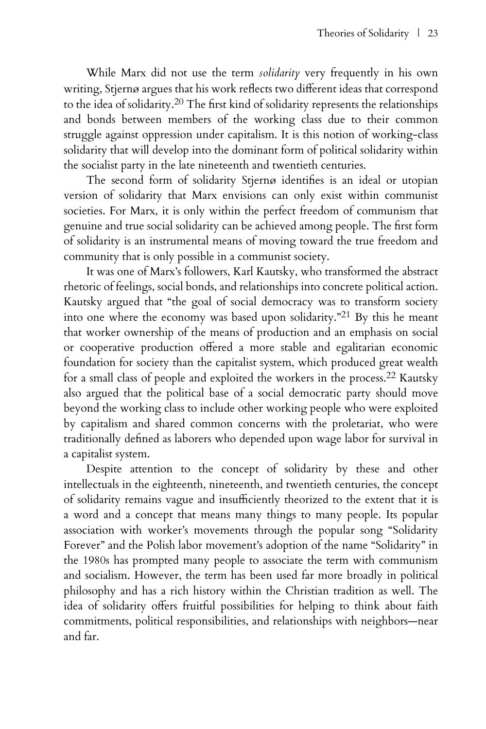While Marx did not use the term *solidarity* very frequently in his own writing, Stjernø argues that his work reflects two different ideas that correspond to the idea of solidarity.20 The first kind of solidarity represents the relationships and bonds between members of the working class due to their common struggle against oppression under capitalism. It is this notion of working-class solidarity that will develop into the dominant form of political solidarity within the socialist party in the late nineteenth and twentieth centuries.

The second form of solidarity Stjernø identifies is an ideal or utopian version of solidarity that Marx envisions can only exist within communist societies. For Marx, it is only within the perfect freedom of communism that genuine and true social solidarity can be achieved among people. The first form of solidarity is an instrumental means of moving toward the true freedom and community that is only possible in a communist society.

It was one of Marx's followers, Karl Kautsky, who transformed the abstract rhetoric of feelings, social bonds, and relationships into concrete political action. Kautsky argued that "the goal of social democracy was to transform society into one where the economy was based upon solidarity."21 By this he meant that worker ownership of the means of production and an emphasis on social or cooperative production offered a more stable and egalitarian economic foundation for society than the capitalist system, which produced great wealth for a small class of people and exploited the workers in the process.22 Kautsky also argued that the political base of a social democratic party should move beyond the working class to include other working people who were exploited by capitalism and shared common concerns with the proletariat, who were traditionally defined as laborers who depended upon wage labor for survival in a capitalist system.

Despite attention to the concept of solidarity by these and other intellectuals in the eighteenth, nineteenth, and twentieth centuries, the concept of solidarity remains vague and insufficiently theorized to the extent that it is a word and a concept that means many things to many people. Its popular association with worker's movements through the popular song "Solidarity Forever" and the Polish labor movement's adoption of the name "Solidarity" in the 1980s has prompted many people to associate the term with communism and socialism. However, the term has been used far more broadly in political philosophy and has a rich history within the Christian tradition as well. The idea of solidarity offers fruitful possibilities for helping to think about faith commitments, political responsibilities, and relationships with neighbors—near and far.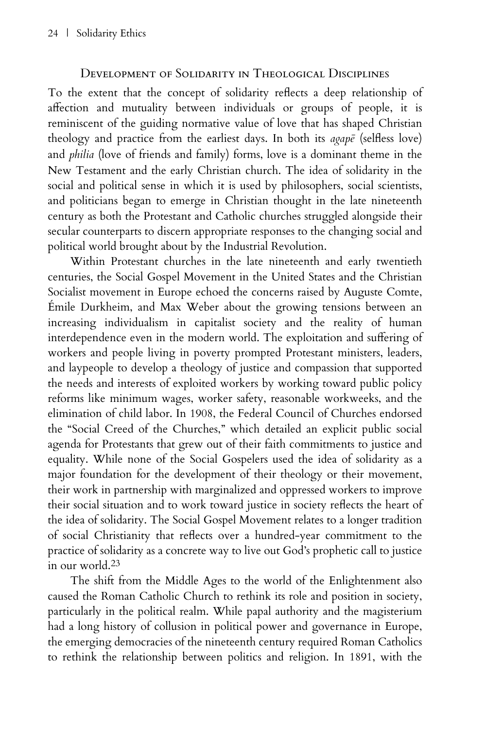### Development of Solidarity in Theological Disciplines

To the extent that the concept of solidarity reflects a deep relationship of affection and mutuality between individuals or groups of people, it is reminiscent of the guiding normative value of love that has shaped Christian theology and practice from the earliest days. In both its *agapē* (selfless love) and *philia* (love of friends and family) forms, love is a dominant theme in the New Testament and the early Christian church. The idea of solidarity in the social and political sense in which it is used by philosophers, social scientists, and politicians began to emerge in Christian thought in the late nineteenth century as both the Protestant and Catholic churches struggled alongside their secular counterparts to discern appropriate responses to the changing social and political world brought about by the Industrial Revolution.

Within Protestant churches in the late nineteenth and early twentieth centuries, the Social Gospel Movement in the United States and the Christian Socialist movement in Europe echoed the concerns raised by Auguste Comte, Émile Durkheim, and Max Weber about the growing tensions between an increasing individualism in capitalist society and the reality of human interdependence even in the modern world. The exploitation and suffering of workers and people living in poverty prompted Protestant ministers, leaders, and laypeople to develop a theology of justice and compassion that supported the needs and interests of exploited workers by working toward public policy reforms like minimum wages, worker safety, reasonable workweeks, and the elimination of child labor. In 1908, the Federal Council of Churches endorsed the "Social Creed of the Churches," which detailed an explicit public social agenda for Protestants that grew out of their faith commitments to justice and equality. While none of the Social Gospelers used the idea of solidarity as a major foundation for the development of their theology or their movement, their work in partnership with marginalized and oppressed workers to improve their social situation and to work toward justice in society reflects the heart of the idea of solidarity. The Social Gospel Movement relates to a longer tradition of social Christianity that reflects over a hundred-year commitment to the practice of solidarity as a concrete way to live out God's prophetic call to justice in our world.23

The shift from the Middle Ages to the world of the Enlightenment also caused the Roman Catholic Church to rethink its role and position in society, particularly in the political realm. While papal authority and the magisterium had a long history of collusion in political power and governance in Europe, the emerging democracies of the nineteenth century required Roman Catholics to rethink the relationship between politics and religion. In 1891, with the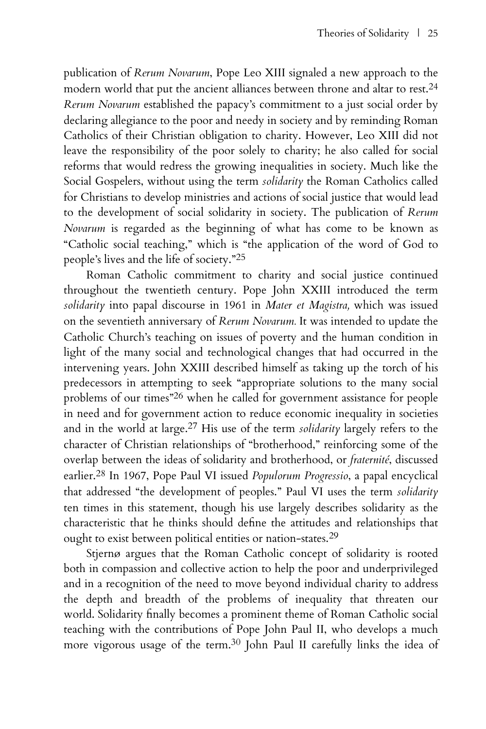publication of *Rerum Novarum*, Pope Leo XIII signaled a new approach to the modern world that put the ancient alliances between throne and altar to rest.24 *Rerum Novarum* established the papacy's commitment to a just social order by declaring allegiance to the poor and needy in society and by reminding Roman Catholics of their Christian obligation to charity. However, Leo XIII did not leave the responsibility of the poor solely to charity; he also called for social reforms that would redress the growing inequalities in society. Much like the Social Gospelers, without using the term *solidarity* the Roman Catholics called for Christians to develop ministries and actions of social justice that would lead to the development of social solidarity in society. The publication of *Rerum Novarum* is regarded as the beginning of what has come to be known as "Catholic social teaching," which is "the application of the word of God to people's lives and the life of society."25

Roman Catholic commitment to charity and social justice continued throughout the twentieth century. Pope John XXIII introduced the term *solidarity* into papal discourse in 1961 in *Mater et Magistra,* which was issued on the seventieth anniversary of *Rerum Novarum.* It was intended to update the Catholic Church's teaching on issues of poverty and the human condition in light of the many social and technological changes that had occurred in the intervening years. John XXIII described himself as taking up the torch of his predecessors in attempting to seek "appropriate solutions to the many social problems of our times"26 when he called for government assistance for people in need and for government action to reduce economic inequality in societies and in the world at large.27 His use of the term *solidarity* largely refers to the character of Christian relationships of "brotherhood," reinforcing some of the overlap between the ideas of solidarity and brotherhood, or *fraternité*, discussed earlier.28 In 1967, Pope Paul VI issued *Populorum Progressio*, a papal encyclical that addressed "the development of peoples." Paul VI uses the term *solidarity* ten times in this statement, though his use largely describes solidarity as the characteristic that he thinks should define the attitudes and relationships that ought to exist between political entities or nation-states.29

Stjernø argues that the Roman Catholic concept of solidarity is rooted both in compassion and collective action to help the poor and underprivileged and in a recognition of the need to move beyond individual charity to address the depth and breadth of the problems of inequality that threaten our world. Solidarity finally becomes a prominent theme of Roman Catholic social teaching with the contributions of Pope John Paul II, who develops a much more vigorous usage of the term.<sup>30</sup> John Paul II carefully links the idea of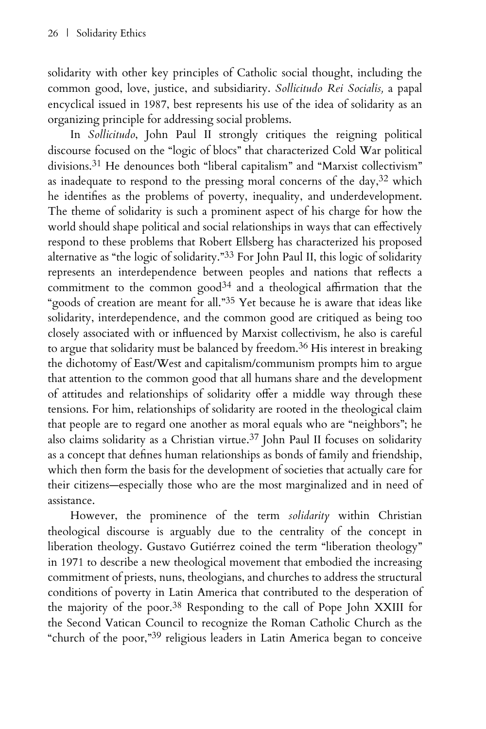solidarity with other key principles of Catholic social thought, including the common good, love, justice, and subsidiarity. *Sollicitudo Rei Socialis,* a papal encyclical issued in 1987, best represents his use of the idea of solidarity as an organizing principle for addressing social problems.

In *Sollicitudo*, John Paul II strongly critiques the reigning political discourse focused on the "logic of blocs" that characterized Cold War political divisions.31 He denounces both "liberal capitalism" and "Marxist collectivism" as inadequate to respond to the pressing moral concerns of the day,32 which he identifies as the problems of poverty, inequality, and underdevelopment. The theme of solidarity is such a prominent aspect of his charge for how the world should shape political and social relationships in ways that can effectively respond to these problems that Robert Ellsberg has characterized his proposed alternative as "the logic of solidarity."33 For John Paul II, this logic of solidarity represents an interdependence between peoples and nations that reflects a commitment to the common good34 and a theological affirmation that the "goods of creation are meant for all."35 Yet because he is aware that ideas like solidarity, interdependence, and the common good are critiqued as being too closely associated with or influenced by Marxist collectivism, he also is careful to argue that solidarity must be balanced by freedom.36 His interest in breaking the dichotomy of East/West and capitalism/communism prompts him to argue that attention to the common good that all humans share and the development of attitudes and relationships of solidarity offer a middle way through these tensions. For him, relationships of solidarity are rooted in the theological claim that people are to regard one another as moral equals who are "neighbors"; he also claims solidarity as a Christian virtue. $37$  John Paul II focuses on solidarity as a concept that defines human relationships as bonds of family and friendship, which then form the basis for the development of societies that actually care for their citizens—especially those who are the most marginalized and in need of assistance.

However, the prominence of the term *solidarity* within Christian theological discourse is arguably due to the centrality of the concept in liberation theology. Gustavo Gutiérrez coined the term "liberation theology" in 1971 to describe a new theological movement that embodied the increasing commitment of priests, nuns, theologians, and churches to address the structural conditions of poverty in Latin America that contributed to the desperation of the majority of the poor.38 Responding to the call of Pope John XXIII for the Second Vatican Council to recognize the Roman Catholic Church as the "church of the poor,"39 religious leaders in Latin America began to conceive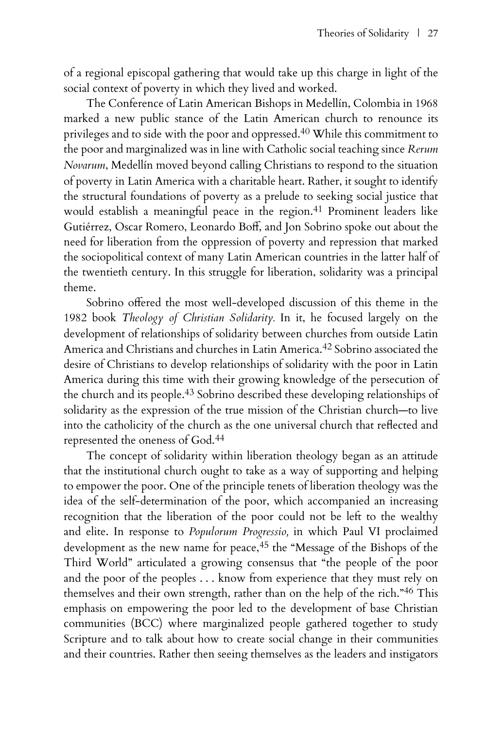of a regional episcopal gathering that would take up this charge in light of the social context of poverty in which they lived and worked.

The Conference of Latin American Bishops in Medellín, Colombia in 1968 marked a new public stance of the Latin American church to renounce its privileges and to side with the poor and oppressed.40 While this commitment to the poor and marginalized was in line with Catholic social teaching since *Rerum Novarum*, Medellín moved beyond calling Christians to respond to the situation of poverty in Latin America with a charitable heart. Rather, it sought to identify the structural foundations of poverty as a prelude to seeking social justice that would establish a meaningful peace in the region.41 Prominent leaders like Gutiérrez, Oscar Romero, Leonardo Boff, and Jon Sobrino spoke out about the need for liberation from the oppression of poverty and repression that marked the sociopolitical context of many Latin American countries in the latter half of the twentieth century. In this struggle for liberation, solidarity was a principal theme.

Sobrino offered the most well-developed discussion of this theme in the 1982 book *Theology of Christian Solidarity.* In it, he focused largely on the development of relationships of solidarity between churches from outside Latin America and Christians and churches in Latin America.42 Sobrino associated the desire of Christians to develop relationships of solidarity with the poor in Latin America during this time with their growing knowledge of the persecution of the church and its people.43 Sobrino described these developing relationships of solidarity as the expression of the true mission of the Christian church—to live into the catholicity of the church as the one universal church that reflected and represented the oneness of God.44

The concept of solidarity within liberation theology began as an attitude that the institutional church ought to take as a way of supporting and helping to empower the poor. One of the principle tenets of liberation theology was the idea of the self-determination of the poor, which accompanied an increasing recognition that the liberation of the poor could not be left to the wealthy and elite. In response to *Populorum Progressio,* in which Paul VI proclaimed development as the new name for peace,<sup>45</sup> the "Message of the Bishops of the Third World" articulated a growing consensus that "the people of the poor and the poor of the peoples . . . know from experience that they must rely on themselves and their own strength, rather than on the help of the rich."46 This emphasis on empowering the poor led to the development of base Christian communities (BCC) where marginalized people gathered together to study Scripture and to talk about how to create social change in their communities and their countries. Rather then seeing themselves as the leaders and instigators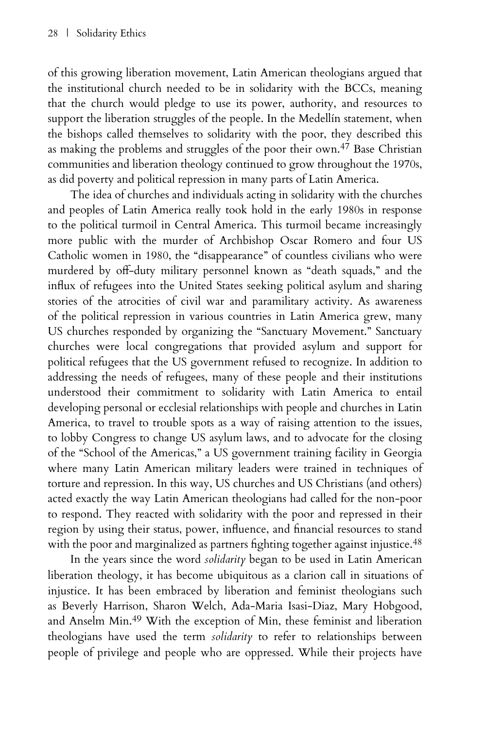of this growing liberation movement, Latin American theologians argued that the institutional church needed to be in solidarity with the BCCs, meaning that the church would pledge to use its power, authority, and resources to support the liberation struggles of the people. In the Medellín statement, when the bishops called themselves to solidarity with the poor, they described this as making the problems and struggles of the poor their own.<sup>47</sup> Base Christian communities and liberation theology continued to grow throughout the 1970s, as did poverty and political repression in many parts of Latin America.

The idea of churches and individuals acting in solidarity with the churches and peoples of Latin America really took hold in the early 1980s in response to the political turmoil in Central America. This turmoil became increasingly more public with the murder of Archbishop Oscar Romero and four US Catholic women in 1980, the "disappearance" of countless civilians who were murdered by off-duty military personnel known as "death squads," and the influx of refugees into the United States seeking political asylum and sharing stories of the atrocities of civil war and paramilitary activity. As awareness of the political repression in various countries in Latin America grew, many US churches responded by organizing the "Sanctuary Movement." Sanctuary churches were local congregations that provided asylum and support for political refugees that the US government refused to recognize. In addition to addressing the needs of refugees, many of these people and their institutions understood their commitment to solidarity with Latin America to entail developing personal or ecclesial relationships with people and churches in Latin America, to travel to trouble spots as a way of raising attention to the issues, to lobby Congress to change US asylum laws, and to advocate for the closing of the "School of the Americas," a US government training facility in Georgia where many Latin American military leaders were trained in techniques of torture and repression. In this way, US churches and US Christians (and others) acted exactly the way Latin American theologians had called for the non-poor to respond. They reacted with solidarity with the poor and repressed in their region by using their status, power, influence, and financial resources to stand with the poor and marginalized as partners fighting together against injustice.<sup>48</sup>

In the years since the word *solidarity* began to be used in Latin American liberation theology, it has become ubiquitous as a clarion call in situations of injustice. It has been embraced by liberation and feminist theologians such as Beverly Harrison, Sharon Welch, Ada-Maria Isasi-Diaz, Mary Hobgood, and Anselm Min.49 With the exception of Min, these feminist and liberation theologians have used the term *solidarity* to refer to relationships between people of privilege and people who are oppressed. While their projects have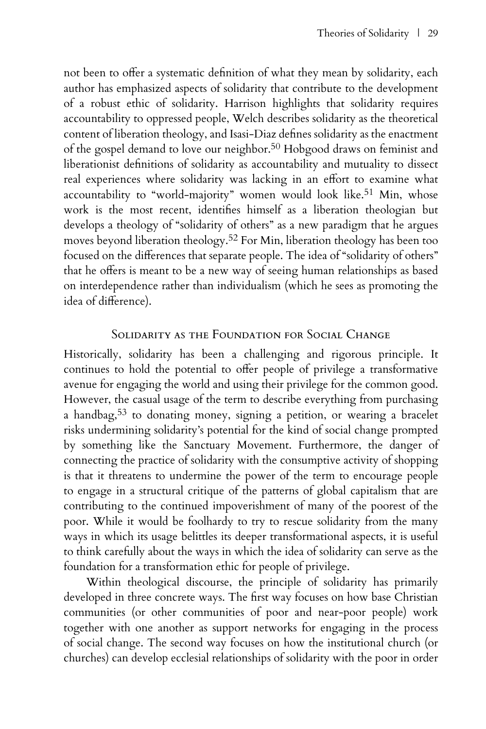not been to offer a systematic definition of what they mean by solidarity, each author has emphasized aspects of solidarity that contribute to the development of a robust ethic of solidarity. Harrison highlights that solidarity requires accountability to oppressed people, Welch describes solidarity as the theoretical content of liberation theology, and Isasi-Diaz defines solidarity as the enactment of the gospel demand to love our neighbor.50 Hobgood draws on feminist and liberationist definitions of solidarity as accountability and mutuality to dissect real experiences where solidarity was lacking in an effort to examine what accountability to "world-majority" women would look like.51 Min, whose work is the most recent, identifies himself as a liberation theologian but develops a theology of "solidarity of others" as a new paradigm that he argues moves beyond liberation theology.52 For Min, liberation theology has been too focused on the differences that separate people. The idea of "solidarity of others" that he offers is meant to be a new way of seeing human relationships as based on interdependence rather than individualism (which he sees as promoting the idea of difference).

### Solidarity as the Foundation for Social Change

Historically, solidarity has been a challenging and rigorous principle. It continues to hold the potential to offer people of privilege a transformative avenue for engaging the world and using their privilege for the common good. However, the casual usage of the term to describe everything from purchasing a handbag,53 to donating money, signing a petition, or wearing a bracelet risks undermining solidarity's potential for the kind of social change prompted by something like the Sanctuary Movement. Furthermore, the danger of connecting the practice of solidarity with the consumptive activity of shopping is that it threatens to undermine the power of the term to encourage people to engage in a structural critique of the patterns of global capitalism that are contributing to the continued impoverishment of many of the poorest of the poor. While it would be foolhardy to try to rescue solidarity from the many ways in which its usage belittles its deeper transformational aspects, it is useful to think carefully about the ways in which the idea of solidarity can serve as the foundation for a transformation ethic for people of privilege.

Within theological discourse, the principle of solidarity has primarily developed in three concrete ways. The first way focuses on how base Christian communities (or other communities of poor and near-poor people) work together with one another as support networks for engaging in the process of social change. The second way focuses on how the institutional church (or churches) can develop ecclesial relationships of solidarity with the poor in order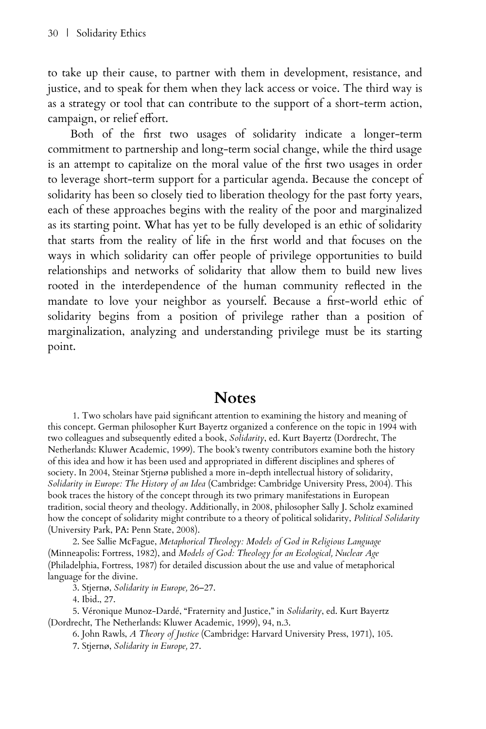to take up their cause, to partner with them in development, resistance, and justice, and to speak for them when they lack access or voice. The third way is as a strategy or tool that can contribute to the support of a short-term action, campaign, or relief effort.

Both of the first two usages of solidarity indicate a longer-term commitment to partnership and long-term social change, while the third usage is an attempt to capitalize on the moral value of the first two usages in order to leverage short-term support for a particular agenda. Because the concept of solidarity has been so closely tied to liberation theology for the past forty years, each of these approaches begins with the reality of the poor and marginalized as its starting point. What has yet to be fully developed is an ethic of solidarity that starts from the reality of life in the first world and that focuses on the ways in which solidarity can offer people of privilege opportunities to build relationships and networks of solidarity that allow them to build new lives rooted in the interdependence of the human community reflected in the mandate to love your neighbor as yourself. Because a first-world ethic of solidarity begins from a position of privilege rather than a position of marginalization, analyzing and understanding privilege must be its starting point.

## **Notes**

1. Two scholars have paid significant attention to examining the history and meaning of this concept. German philosopher Kurt Bayertz organized a conference on the topic in 1994 with two colleagues and subsequently edited a book, *Solidarity*, ed. Kurt Bayertz (Dordrecht, The Netherlands: Kluwer Academic, 1999). The book's twenty contributors examine both the history of this idea and how it has been used and appropriated in different disciplines and spheres of society. In 2004, Steinar Stjernø published a more in-depth intellectual history of solidarity, *Solidarity in Europe: The History of an Idea* (Cambridge: Cambridge University Press, 2004)*.* This book traces the history of the concept through its two primary manifestations in European tradition, social theory and theology. Additionally, in 2008, philosopher Sally J. Scholz examined how the concept of solidarity might contribute to a theory of political solidarity, *Political Solidarity* (University Park, PA: Penn State, 2008).

2. See Sallie McFague, *Metaphorical Theology: Models of God in Religious Language* (Minneapolis: Fortress, 1982), and *Models of God: Theology for an Ecological, Nuclear Age* (Philadelphia, Fortress, 1987) for detailed discussion about the use and value of metaphorical language for the divine.

3. Stjernø, *Solidarity in Europe,* 26–27.

4. Ibid., 27.

5. Véronique Munoz-Dardé, "Fraternity and Justice," in *Solidarity*, ed. Kurt Bayertz (Dordrecht, The Netherlands: Kluwer Academic, 1999), 94, n.3.

6. John Rawls, *A Theory of Justice* (Cambridge: Harvard University Press, 1971), 105. 7. Stjernø, *Solidarity in Europe,* 27.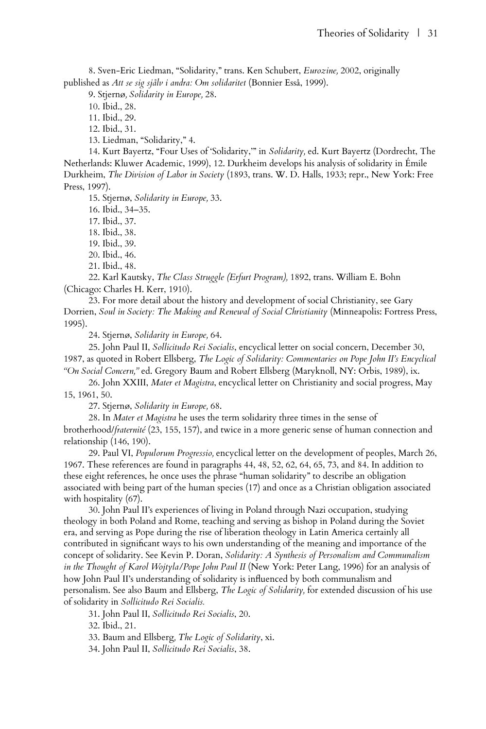8. Sven-Eric Liedman, "Solidarity," trans. Ken Schubert, *Eurozine,* 2002, originally published as *Att se sig sjålv i andra: Om solidaritet* (Bonnier Esså, 1999).

9. Stjernø*, Solidarity in Europe,* 28.

10. Ibid., 28.

11. Ibid., 29.

12. Ibid., 31.

13. Liedman, "Solidarity," 4.

14. Kurt Bayertz, "Four Uses of 'Solidarity,'" in *Solidarity,* ed. Kurt Bayertz (Dordrecht, The Netherlands: Kluwer Academic, 1999), 12. Durkheim develops his analysis of solidarity in Émile Durkheim, *The Division of Labor in Society* (1893, trans. W. D. Halls, 1933; repr., New York: Free Press, 1997).

15. Stjernø, *Solidarity in Europe,* 33.

16. Ibid., 34–35.

17. Ibid., 37.

18. Ibid., 38.

19. Ibid., 39.

20. Ibid., 46.

21. Ibid., 48.

22. Karl Kautsky, *The Class Struggle (Erfurt Program),* 1892, trans. William E. Bohn (Chicago: Charles H. Kerr, 1910).

23. For more detail about the history and development of social Christianity, see Gary Dorrien, *Soul in Society: The Making and Renewal of Social Christianity* (Minneapolis: Fortress Press, 1995).

24. Stjernø, *Solidarity in Europe,* 64.

25. John Paul II, *Sollicitudo Rei Socialis*, encyclical letter on social concern, December 30, 1987, as quoted in Robert Ellsberg, *The Logic of Solidarity: Commentaries on Pope John II's Encyclical "On Social Concern,"* ed. Gregory Baum and Robert Ellsberg (Maryknoll, NY: Orbis, 1989), ix.

26. John XXIII, *Mater et Magistra*, encyclical letter on Christianity and social progress, May 15, 1961, 50.

27. Stjernø, *Solidarity in Europe,* 68.

28. In *Mater et Magistra* he uses the term solidarity three times in the sense of brotherhood/*fraternité* (23, 155, 157), and twice in a more generic sense of human connection and relationship (146, 190).

29. Paul VI, *Populorum Progressio,* encyclical letter on the development of peoples, March 26, 1967. These references are found in paragraphs 44, 48, 52, 62, 64, 65, 73, and 84. In addition to these eight references, he once uses the phrase "human solidarity" to describe an obligation associated with being part of the human species (17) and once as a Christian obligation associated with hospitality (67).

30. John Paul II's experiences of living in Poland through Nazi occupation, studying theology in both Poland and Rome, teaching and serving as bishop in Poland during the Soviet era, and serving as Pope during the rise of liberation theology in Latin America certainly all contributed in significant ways to his own understanding of the meaning and importance of the concept of solidarity. See Kevin P. Doran, *Solidarity: A Synthesis of Personalism and Communalism in the Thought of Karol Wojtyla/Pope John Paul II* (New York: Peter Lang, 1996) for an analysis of how John Paul II's understanding of solidarity is influenced by both communalism and personalism. See also Baum and Ellsberg, *The Logic of Solidarity,* for extended discussion of his use of solidarity in *Sollicitudo Rei Socialis.*

31. John Paul II, *Sollicitudo Rei Socialis*, 20.

32. Ibid., 21.

33. Baum and Ellsberg*, The Logic of Solidarity*, xi.

34. John Paul II, *Sollicitudo Rei Socialis*, 38.